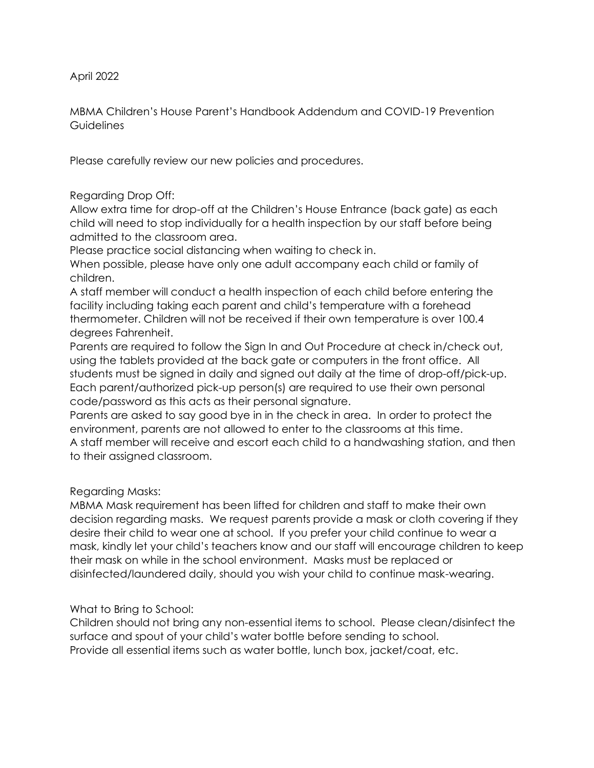April 2022

MBMA Children's House Parent's Handbook Addendum and COVID-19 Prevention **Guidelines** 

Please carefully review our new policies and procedures.

# Regarding Drop Off:

Allow extra time for drop-off at the Children's House Entrance (back gate) as each child will need to stop individually for a health inspection by our staff before being admitted to the classroom area.

Please practice social distancing when waiting to check in.

When possible, please have only one adult accompany each child or family of children.

A staff member will conduct a health inspection of each child before entering the facility including taking each parent and child's temperature with a forehead thermometer. Children will not be received if their own temperature is over 100.4 degrees Fahrenheit.

Parents are required to follow the Sign In and Out Procedure at check in/check out, using the tablets provided at the back gate or computers in the front office. All students must be signed in daily and signed out daily at the time of drop-off/pick-up. Each parent/authorized pick-up person(s) are required to use their own personal code/password as this acts as their personal signature.

Parents are asked to say good bye in in the check in area. In order to protect the environment, parents are not allowed to enter to the classrooms at this time. A staff member will receive and escort each child to a handwashing station, and then to their assigned classroom.

## Regarding Masks:

MBMA Mask requirement has been lifted for children and staff to make their own decision regarding masks. We request parents provide a mask or cloth covering if they desire their child to wear one at school. If you prefer your child continue to wear a mask, kindly let your child's teachers know and our staff will encourage children to keep their mask on while in the school environment. Masks must be replaced or disinfected/laundered daily, should you wish your child to continue mask-wearing.

## What to Bring to School:

Children should not bring any non-essential items to school. Please clean/disinfect the surface and spout of your child's water bottle before sending to school. Provide all essential items such as water bottle, lunch box, jacket/coat, etc.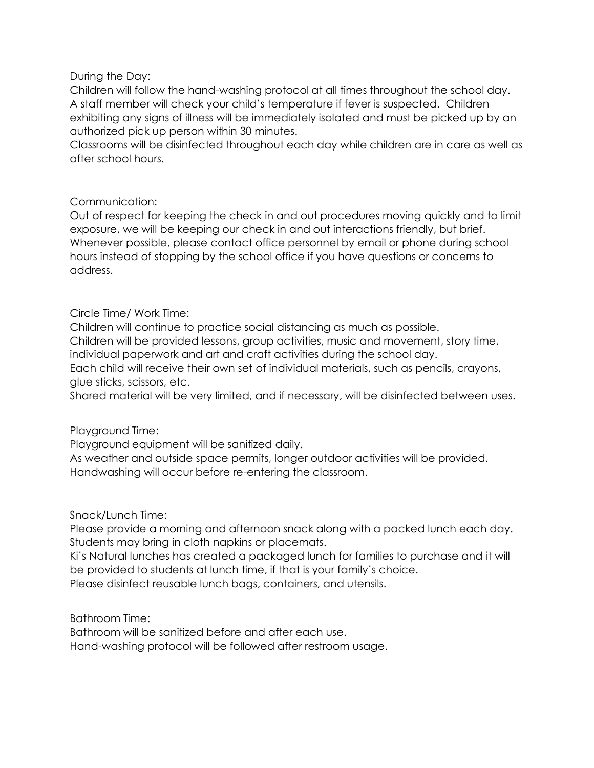### During the Day:

Children will follow the hand-washing protocol at all times throughout the school day. A staff member will check your child's temperature if fever is suspected. Children exhibiting any signs of illness will be immediately isolated and must be picked up by an authorized pick up person within 30 minutes.

Classrooms will be disinfected throughout each day while children are in care as well as after school hours.

#### Communication:

Out of respect for keeping the check in and out procedures moving quickly and to limit exposure, we will be keeping our check in and out interactions friendly, but brief. Whenever possible, please contact office personnel by email or phone during school hours instead of stopping by the school office if you have questions or concerns to address.

## Circle Time/ Work Time:

Children will continue to practice social distancing as much as possible.

Children will be provided lessons, group activities, music and movement, story time, individual paperwork and art and craft activities during the school day.

Each child will receive their own set of individual materials, such as pencils, crayons, glue sticks, scissors, etc.

Shared material will be very limited, and if necessary, will be disinfected between uses.

## Playground Time:

Playground equipment will be sanitized daily.

As weather and outside space permits, longer outdoor activities will be provided. Handwashing will occur before re-entering the classroom.

## Snack/Lunch Time:

Please provide a morning and afternoon snack along with a packed lunch each day. Students may bring in cloth napkins or placemats.

Ki's Natural lunches has created a packaged lunch for families to purchase and it will be provided to students at lunch time, if that is your family's choice.

Please disinfect reusable lunch bags, containers, and utensils.

Bathroom Time:

Bathroom will be sanitized before and after each use.

Hand-washing protocol will be followed after restroom usage.